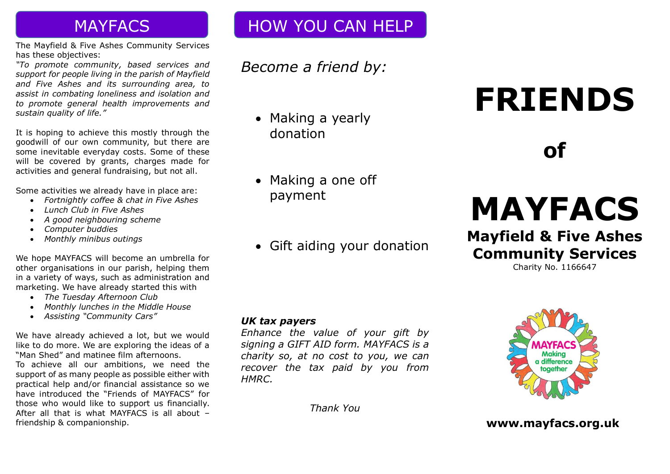The Mayfield & Five Ashes Community Services has these objectives:

*"To promote community, based services and support for people living in the parish of Mayfield and Five Ashes and its surrounding area, to assist in combating loneliness and isolation and to promote general health improvements and sustain quality of life."*

It is hoping to achieve this mostly through the goodwill of our own community, but there are some inevitable everyday costs. Some of these will be covered by grants, charges made for activities and general fundraising, but not all.

Some activities we already have in place are:

- *Fortnightly coffee & chat in Five Ashes*
- *Lunch Club in Five Ashes*
- *A good neighbouring scheme*
- *Computer buddies*
- *Monthly minibus outings*

We hope MAYFACS will become an umbrella for other organisations in our parish, helping them in a variety of ways, such as administration and marketing. We have already started this with

- *The Tuesday Afternoon Club*
- *Monthly lunches in the Middle House*
- *Assisting "Community Cars"*

We have already achieved a lot, but we would like to do more. We are exploring the ideas of a "Man Shed" and matinee film afternoons.

To achieve all our ambitions, we need the support of as many people as possible either with practical help and/or financial assistance so we have introduced the "Friends of MAYFACS" for those who would like to support us financially. After all that is what MAYFACS is all about – friendship & companionship.

# MAYFACS HOW YOU CAN HELP

## *Become a friend by:*

- Making a yearly donation
- Making a one off payment
- Gift aiding your donation

### *UK tax payers*

*Enhance the value of your gift by signing a GIFT AID form. MAYFACS is a charity so, at no cost to you, we can recover the tax paid by you from HMRC.*

*Thank You*

# **FRIENDS**

**of**

# **MAYFACS**

## **Mayfield & Five Ashes Community Services**

Charity No. 1166647



### **www.mayfacs.org.uk**